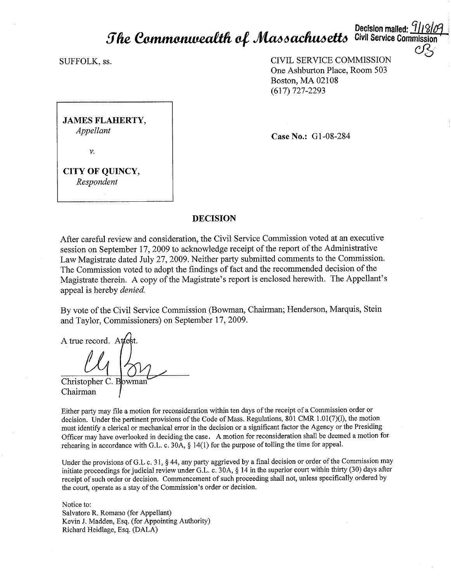# **Decision malled:** *Cf* **/J** *15/fj fl fie* **\:.(J!fflfrn(m.levt:UC:.cn** *o/,* ~ **6** *acftu6 ell6* **Civil Service Commission**

SUFFOLK, ss.

CIVIL SERVICE COMMISSION One Ashburton Place, Room 503 Boston, MA 02108 (617) 727-2293

**JAMES FLAHERTY,**  *Appellant*  V.

**Case No.: G1-08-284** 

**CITY OF QUINCY,**  *Respondent* 

# **DECISION**

After careful review and consideration, the Civil Service Commission voted at an executive session on September 17, 2009 to acknowledge receipt of the report of the Administrative Law Magistrate dated July 27, 2009. Neither party submitted comments to the Commission. The Commission voted to adopt the findings of fact and the recommended decision of the Magistrate therein. A copy of the Magistrate's report is enclosed herewith. The Appellant's appeal is hereby *denied.* 

By vote of the Civil Service Commission (Bowman, Chairman; Henderson, Marquis, Stein and Taylor, Commissioners) on September 17, 2009.

A true record. A

Christopher C. B Chairman

Either party may file a motion for reconsideration within ten days of the receipt of a Commission order or decision. Under the pertinent provisions of the Code of Mass. Regulations, 801 CMR 1.01(7)(l), the motion must identify a clerical or mechanical error in the decision or a significant factor the Agency or the Presiding Officer may have overlooked in deciding the case. A motion for reconsideration shall be deemed a motion for rehearing in accordance with G.L. c. 30A, § 14(1) for the purpose of tolling the time for appeal.

Under the provisions of G.L c. 31, § 44, any party aggrieved by a final decision or order of the Commission may initiate proceedings for judicial review under G.L. c. 30A, § 14 in the superior court within thirty (30) days after receipt of such order or decision. Commencement of such proceeding shall not, unless specifically ordered by the court, operate as a stay of the Commission's order or decision.

Notice to: Salvatore R. Romano (for Appellant) Kevin J. Madden, Esq. (for Appointing Authority) Richard Heidlage, Esq. (DALA)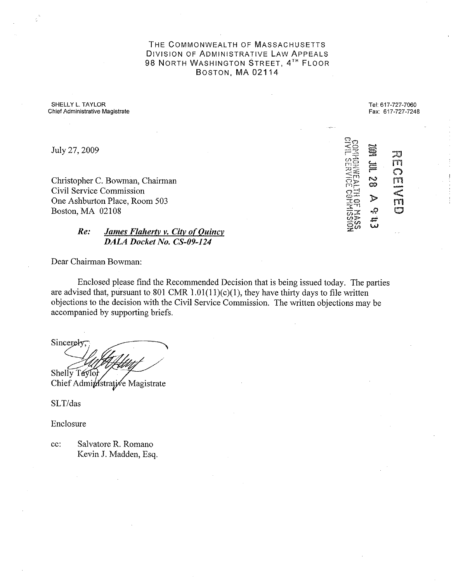THE COMMONWEALTH OF MASSACHUSETTS DIVISION OF ADMINISTRATIVE LAW APPEALS 98 NORTH WASHINGTON STREET, 4TH FLOOR BOSTON, MA 02114

SHELLY L. TAYLOR **Chief Administrative Magistrate** 

Tel: 617-727-7060 Fax: 617-727-7248

> pangang<br>أن تألم rn (") *m*  -<br>5  $\frac{1}{2}$ rn **0**

 $\Xi_\Omega$  $\leq$ r:~~;  $\omega$  $\approx$ 

 $\equiv$  $\Xi$ '-<br><del>"</del>

**N 00** 

► *-P.*  .<del>ب.</del><br>س

 $\leq \frac{2\pi}{12}$  $\sigma$ <sub> $\mathbf{r}$ </sub> **Plr-•**   $\sim$ ا $\pm$  $\Xi^-$ **3.'.0**   $\frac{1}{\sqrt{2}}$  $\sim$   $\geq$ -(() **§E(J)** 

July 27, 2009

Christopher C. Bowman, Chairman Civil Service Commission One Ashburton Place, Room 503 Boston, MA 02108

# *Re: James Flaherty v. City of Quincy DALA Docket No. CS-09-124*

Dear Chairman Bowman:

Enclosed please find the Recommended Decision that is being issued today. The parties are advised that, pursuant to 801 CMR  $1.01(11)(c)(1)$ , they have thirty days to file written objections to the decision with the Civil Service Commission. The written objections may be accompanied by supporting briefs.

Sincerely Shelly Taylor Chief Administrative Magistrate

SLT/das

Enclosure

cc: Salvatore R. Romano Kevin J. Madden, Esq.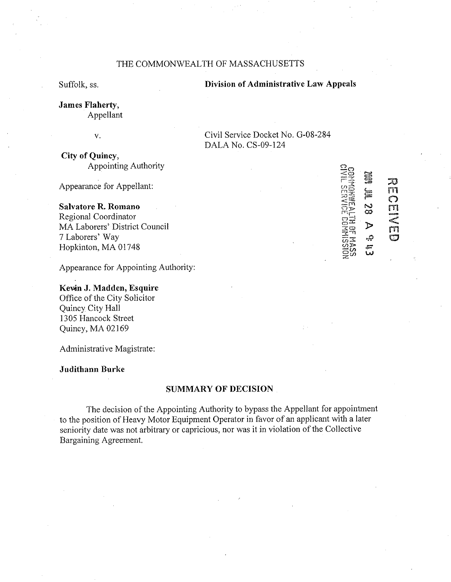# THE COMMONWEALTH OF MASSACHUSETTS

Suffolk, ss.

#### **Division of Administrative Law Appeals**

Civil Service Docket No. G-08-284

DALA No. CS-09-124

**James Flaherty,**  Appellant

v.

**City of Quincy,**  Appointing Authority

Appearance for Appellant:

# **Salvatore R. Romano**

Regional Coordinator MA Laborers' District Council 7 Laborers' Way Hopkinton, MA 01748

Appearance for Appointing Authority:

# **Kevin J. Madden, Esquire** Office of the City Solicitor Quincy City Hall

1305 Hancock Street Quincy, MA 02169

Administrative Magistrate:

**Judithann Burke** 

# **SUMMARY OF DECISION**

The decision of the Appointing Authority to bypass the Appellant for appointment to the position of Heavy Motor Equipment Operator in favor of an applicant with a later seniority date was not arbitrary or capricious, nor was it in violation of the Collective Bargaining Agreement.

| I<br>တည်<br>သင်္ခ<br>$\widetilde{\Xi}^{\sharp\sharp}_{\Xi}$ |            | X)<br>m<br>٣ |
|-------------------------------------------------------------|------------|--------------|
|                                                             | ప          |              |
|                                                             |            |              |
| E CORNISSING<br>VELI DE MASSS                               |            | m            |
|                                                             |            |              |
|                                                             |            |              |
|                                                             | سته<br>فعا |              |
|                                                             |            |              |
| ≍≍                                                          |            |              |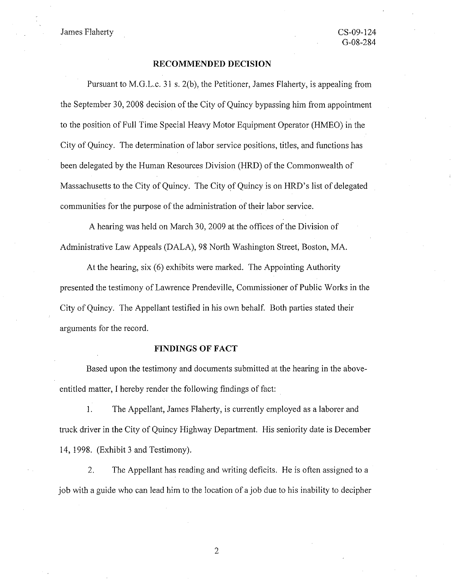James Flaherty

#### **RECOMMENDED DECISION**

Pursuant to M.G.L.c. 31 s. 2(b), the Petitioner, James Flaherty, is appealing from the September 30, 2008 decision of the City of Quincy bypassing him from appointment to the position of Full Time Special Heavy Motor Equipment Operator (HMEO) in the City of Quincy. The determination of labor service positions, titles, and functions has been delegated by the Human Resources Division (HRD) of the Commonwealth of Massachusetts to the City of Quincy. The City of Quincy is on HRD's list of delegated communities for the purpose of the administration of their labor service.

A hearing was held on March 30, 2009 at the offices of the Division of Administrative Law Appeals (DALA), 98 North Washington Street, Boston, MA.

At the hearing, six (6) exhibits were marked. The Appointing Authority presented the testimony of Lawrence Prendeville, Commissioner of Public Works in the City of Quincy. The Appellant testified in his own behalf. Both parties stated their arguments for the record.

## **FINDINGS OF FACT**

Based upon the testimony and documents submitted at the hearing in the aboveentitled matter, I hereby render the following findings of fact:

I. The Appellant, James Flaherty, is currently employed as a laborer and truck driver in the City of Quincy Highway Department. His seniority date is December 14, 1998. (Exhibit 3 and Testimony).

2. The Appellant has reading and writing deficits. He is often assigned to a job with a guide who can lead him to the location of a job due to his inability to decipher

2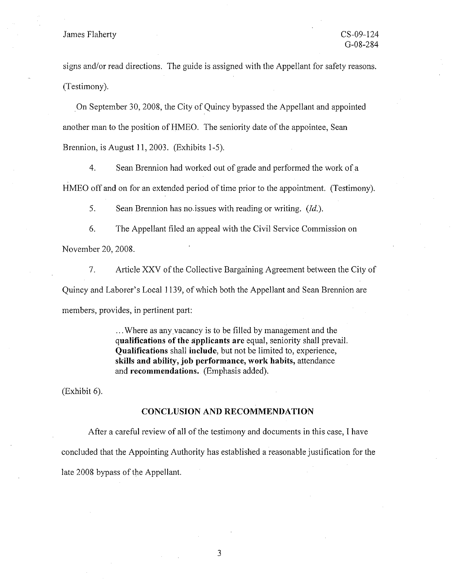## James Flaherty CS-09-124

signs and/or read directions. The guide is assigned with the Appellant for safety reasons. (Testimony).

On September 30, 2008, the City of Quincy bypassed the Appellant and appointed another man to the position of HMEO. The seniority date of the appointee, Sean Brennion, is August 11, 2003. (Exhibits 1-5).

4. Sean Brennion had worked out of grade and performed the work of a HMEO off and on for an extended period of time prior to the appointment. (Testimony).

5. Sean Brennion has no.issues with reading or writing. *(Id.).* 

6. The Appellant filed an appeal with the Civil Service Commission on November 20, 2008.

7. Article XXV of the Collective Bargaining Agreement between the City of Quincy and Laborer's Local 1139, of which both the Appellant and Sean Brennion are members, provides, in pertinent part:

> ... Where as any vacancy is to be filled by management and the **qualifications of the applicants are** equal, seniority shall prevail. **Qualifications** shall **include,** but not be limited to, experience, **skills and ability, job performance, work habits,** attendance and **recommendations.** (Emphasis added).

(Exhibit 6).

#### **CONCLUSION AND RECOMMENDATION**

After a careful review of all of the testimony and documents in this case, I have concluded that the Appointing Authority has established a reasonable justification for the late 2008 bypass of the Appellant.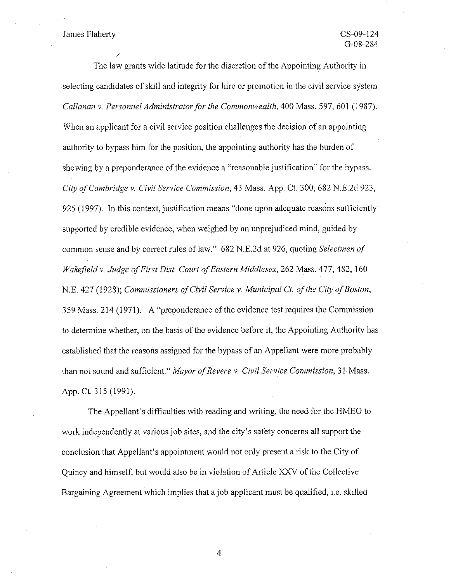### James Flaherty

/

The law grants wide latitude for the discretion of the Appointing Authority in selecting candidates of skill and integrity for hire or promotion in the civil service system *Callanan v. Personnel Administrator for the Commonwealth,* 400 Mass. 597,601 (1987). When an applicant for a civil service position challenges the decision of an appointing authority to bypass him for the position, the appointing authority has the burden of showing by a preponderance of the evidence a "reasonable justification" for the bypass. *City of Cambridge v. Civil Service Commission,* 43 Mass. App. Ct. 300, 682 N.E.2d 923, 925 (1997). In this context, justification means "done upon adequate reasons sufficiently supported by credible evidence, when weighed by an unprejudiced mind, guided by common sense and by correct rules of law." 682 N.E.2d at 926, quoting *Selectmen of Wakefield v. Judge of First Dist. Court of Eastern Middlesex,* 262 Mass. 477,482, 160 N.E. 427 (1928); *Commissioners of Civil Service v. Municipal* Ct. *of the City of Boston,*  359 Mass. 214 (1971). A "preponderance of the evidence test requires the Commission to determine whether, on the basis of the evidence before it, the Appointing Authority has established that the reasons assigned for the bypass of an Appellant were more probably than not sound and sufficient." *Mayor a/Revere v. Civil Service Commission,* 31 Mass. App. Ct. 315 (1991).

The Appellant's difficulties with reading and writing, the need for the HMEO to work independently at various job sites, and the city's safety concerns all support the conclusion that Appellant's appointment would not only present a risk to the City of Quincy and himself, but would also be in violation of Article XXV of the Collective Bargaining Agreement which implies that a job applicant must be qualified, i.e. skilled

4